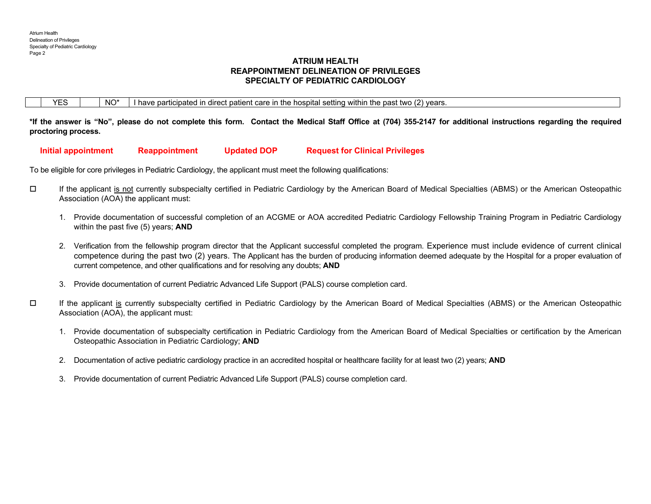# **ATRIUM HEALTH REAPPOINTMENT DELINEATION OF PRIVILEGES SPECIALTY OF PEDIATRIC CARDIOLOGY**

|  |  |  | NO* | .<br>. care<br>⊧ hospital settin<br>withir<br>. vears<br>ın<br>the<br>two.<br>nast<br><b>Th</b><br>rticipa<br>~~<br>וחבוזכח<br>⊢aır<br>חבד<br>ave :<br>valiti<br>ш<br>รเธเ<br>'Gai J.<br>וי - |  |
|--|--|--|-----|-----------------------------------------------------------------------------------------------------------------------------------------------------------------------------------------------|--|
|--|--|--|-----|-----------------------------------------------------------------------------------------------------------------------------------------------------------------------------------------------|--|

**\*If the answer is "No", please do not complete this form. Contact the Medical Staff Office at (704) 355-2147 for additional instructions regarding the required proctoring process.** 

 **Initial appointment Reappointment Updated DOP Request for Clinical Privileges** 

To be eligible for core privileges in Pediatric Cardiology, the applicant must meet the following qualifications:

- $\Box$  If the applicant is not currently subspecialty certified in Pediatric Cardiology by the American Board of Medical Specialties (ABMS) or the American Osteopathic Association (AOA) the applicant must:
	- 1. Provide documentation of successful completion of an ACGME or AOA accredited Pediatric Cardiology Fellowship Training Program in Pediatric Cardiology within the past five (5) years; **AND**
	- 2. Verification from the fellowship program director that the Applicant successful completed the program. Experience must include evidence of current clinical competence during the past two (2) years. The Applicant has the burden of producing information deemed adequate by the Hospital for a proper evaluation of current competence, and other qualifications and for resolving any doubts; **AND**
	- 3. Provide documentation of current Pediatric Advanced Life Support (PALS) course completion card.
- $\Box$  If the applicant is currently subspecialty certified in Pediatric Cardiology by the American Board of Medical Specialties (ABMS) or the American Osteopathic Association (AOA), the applicant must:
	- 1. Provide documentation of subspecialty certification in Pediatric Cardiology from the American Board of Medical Specialties or certification by the American Osteopathic Association in Pediatric Cardiology; **AND**
	- 2. Documentation of active pediatric cardiology practice in an accredited hospital or healthcare facility for at least two (2) years; **AND**
	- 3. Provide documentation of current Pediatric Advanced Life Support (PALS) course completion card.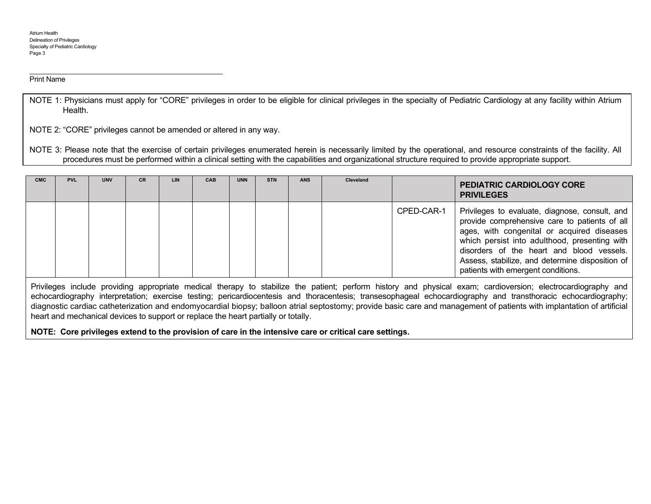#### Print Name

NOTE 1: Physicians must apply for "CORE" privileges in order to be eligible for clinical privileges in the specialty of Pediatric Cardiology at any facility within Atrium Health.

NOTE 2: "CORE" privileges cannot be amended or altered in any way.

NOTE 3: Please note that the exercise of certain privileges enumerated herein is necessarily limited by the operational, and resource constraints of the facility. All procedures must be performed within a clinical setting with the capabilities and organizational structure required to provide appropriate support.

| <b>CMC</b> | <b>PVL</b> | <b>UNV</b> | <b>CR</b> | <b>LIN</b> | <b>CAB</b> | <b>UNN</b> | <b>STN</b> | <b>ANS</b> | Cleveland |            | <b>PEDIATRIC CARDIOLOGY CORE</b><br><b>PRIVILEGES</b>                                                                                                                                                                                                                                                                                |
|------------|------------|------------|-----------|------------|------------|------------|------------|------------|-----------|------------|--------------------------------------------------------------------------------------------------------------------------------------------------------------------------------------------------------------------------------------------------------------------------------------------------------------------------------------|
|            |            |            |           |            |            |            |            |            |           | CPED-CAR-1 | Privileges to evaluate, diagnose, consult, and<br>provide comprehensive care to patients of all<br>ages, with congenital or acquired diseases<br>which persist into adulthood, presenting with<br>disorders of the heart and blood vessels.<br>Assess, stabilize, and determine disposition of<br>patients with emergent conditions. |

Privileges include providing appropriate medical therapy to stabilize the patient; perform history and physical exam; cardioversion; electrocardiography and echocardiography interpretation; exercise testing; pericardiocentesis and thoracentesis; transesophageal echocardiography and transthoracic echocardiography; diagnostic cardiac catheterization and endomyocardial biopsy; balloon atrial septostomy; provide basic care and management of patients with implantation of artificial heart and mechanical devices to support or replace the heart partially or totally.

**NOTE: Core privileges extend to the provision of care in the intensive care or critical care settings.**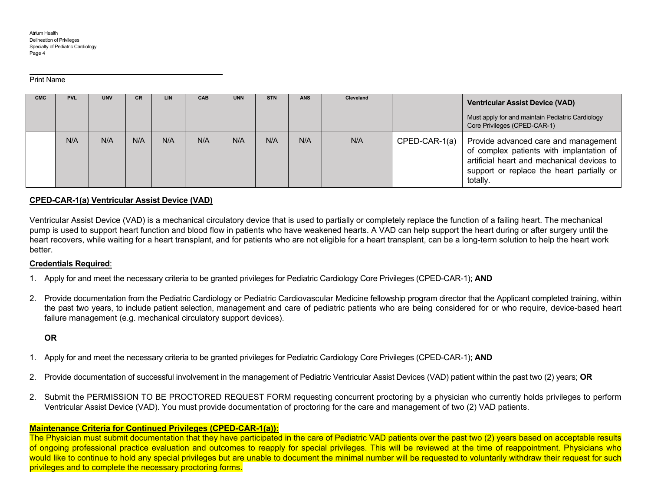#### Print Name

| <b>CMC</b> | <b>PVL</b> | <b>UNV</b> | <b>CR</b> | LIN | CAB | <b>UNN</b> | <b>STN</b> | <b>ANS</b> | Cleveland |               | <b>Ventricular Assist Device (VAD)</b><br>Must apply for and maintain Pediatric Cardiology<br>Core Privileges (CPED-CAR-1)                                                              |
|------------|------------|------------|-----------|-----|-----|------------|------------|------------|-----------|---------------|-----------------------------------------------------------------------------------------------------------------------------------------------------------------------------------------|
|            | N/A        | N/A        | N/A       | N/A | N/A | N/A        | N/A        | N/A        | N/A       | CPED-CAR-1(a) | Provide advanced care and management<br>of complex patients with implantation of<br>artificial heart and mechanical devices to<br>support or replace the heart partially or<br>totally. |

# **CPED-CAR-1(a) Ventricular Assist Device (VAD)**

Ventricular Assist Device (VAD) is a mechanical circulatory device that is used to partially or completely replace the function of a failing heart. The mechanical pump is used to support heart function and blood flow in patients who have weakened hearts. A VAD can help support the heart during or after surgery until the heart recovers, while waiting for a heart transplant, and for patients who are not eligible for a heart transplant, can be a long-term solution to help the heart work better.

## **Credentials Required**:

- 1. Apply for and meet the necessary criteria to be granted privileges for Pediatric Cardiology Core Privileges (CPED-CAR-1); **AND**
- 2. Provide documentation from the Pediatric Cardiology or Pediatric Cardiovascular Medicine fellowship program director that the Applicant completed training, within the past two years, to include patient selection, management and care of pediatric patients who are being considered for or who require, device-based heart failure management (e.g. mechanical circulatory support devices).

# **OR**

- 1. Apply for and meet the necessary criteria to be granted privileges for Pediatric Cardiology Core Privileges (CPED-CAR-1); **AND**
- 2. Provide documentation of successful involvement in the management of Pediatric Ventricular Assist Devices (VAD) patient within the past two (2) years; **OR**
- 2. Submit the PERMISSION TO BE PROCTORED REQUEST FORM requesting concurrent proctoring by a physician who currently holds privileges to perform Ventricular Assist Device (VAD). You must provide documentation of proctoring for the care and management of two (2) VAD patients.

# **Maintenance Criteria for Continued Privileges (CPED-CAR-1(a)):**

The Physician must submit documentation that they have participated in the care of Pediatric VAD patients over the past two (2) years based on acceptable results of ongoing professional practice evaluation and outcomes to reapply for special privileges. This will be reviewed at the time of reappointment. Physicians who would like to continue to hold any special privileges but are unable to document the minimal number will be requested to voluntarily withdraw their request for such privileges and to complete the necessary proctoring forms.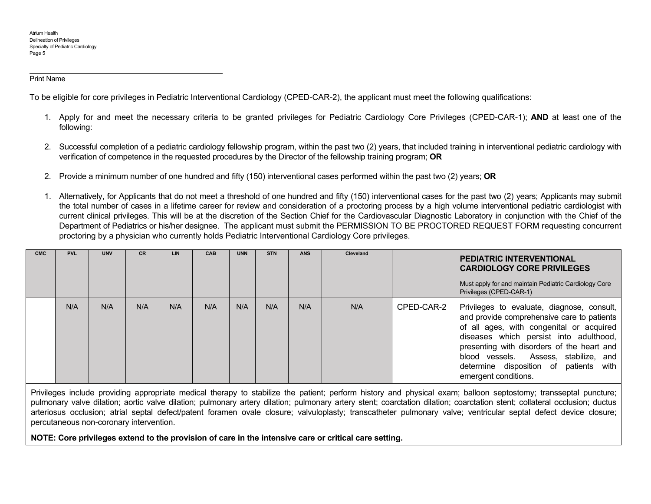#### Print Name

To be eligible for core privileges in Pediatric Interventional Cardiology (CPED-CAR-2), the applicant must meet the following qualifications:

- 1. Apply for and meet the necessary criteria to be granted privileges for Pediatric Cardiology Core Privileges (CPED-CAR-1); **AND** at least one of the following:
- 2. Successful completion of a pediatric cardiology fellowship program, within the past two (2) years, that included training in interventional pediatric cardiology with verification of competence in the requested procedures by the Director of the fellowship training program; **OR**
- 2. Provide a minimum number of one hundred and fifty (150) interventional cases performed within the past two (2) years; **OR**
- 1. Alternatively, for Applicants that do not meet a threshold of one hundred and fifty (150) interventional cases for the past two (2) years; Applicants may submit the total number of cases in a lifetime career for review and consideration of a proctoring process by a high volume interventional pediatric cardiologist with current clinical privileges. This will be at the discretion of the Section Chief for the Cardiovascular Diagnostic Laboratory in conjunction with the Chief of the Department of Pediatrics or his/her designee. The applicant must submit the PERMISSION TO BE PROCTORED REQUEST FORM requesting concurrent proctoring by a physician who currently holds Pediatric Interventional Cardiology Core privileges.

| <b>CMC</b> | <b>PVL</b> | <b>UNV</b> | <b>CR</b> | LIN | <b>CAB</b> | <b>UNN</b> | <b>STN</b> | <b>ANS</b> | Cleveland |            | <b>PEDIATRIC INTERVENTIONAL</b><br><b>CARDIOLOGY CORE PRIVILEGES</b><br>Must apply for and maintain Pediatric Cardiology Core<br>Privileges (CPED-CAR-1)                                                                                                                                                                                |
|------------|------------|------------|-----------|-----|------------|------------|------------|------------|-----------|------------|-----------------------------------------------------------------------------------------------------------------------------------------------------------------------------------------------------------------------------------------------------------------------------------------------------------------------------------------|
|            | N/A        | N/A        | N/A       | N/A | N/A        | N/A        | N/A        | N/A        | N/A       | CPED-CAR-2 | Privileges to evaluate, diagnose, consult,<br>and provide comprehensive care to patients<br>of all ages, with congenital or acquired<br>diseases which persist into adulthood,<br>presenting with disorders of the heart and<br>blood vessels. Assess, stabilize, and<br>determine disposition of patients with<br>emergent conditions. |

Privileges include providing appropriate medical therapy to stabilize the patient; perform history and physical exam; balloon septostomy; transseptal puncture; pulmonary valve dilation; aortic valve dilation; pulmonary artery dilation; pulmonary artery stent; coarctation dilation; coarctation stent; collateral occlusion; ductus arteriosus occlusion; atrial septal defect/patent foramen ovale closure; valvuloplasty; transcatheter pulmonary valve; ventricular septal defect device closure; percutaneous non-coronary intervention.

**NOTE: Core privileges extend to the provision of care in the intensive care or critical care setting.**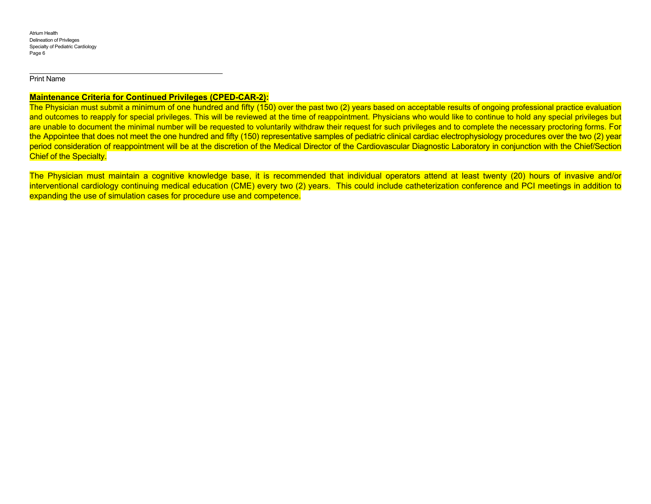Print Name

## **Maintenance Criteria for Continued Privileges (CPED-CAR-2):**

The Physician must submit a minimum of one hundred and fifty (150) over the past two (2) years based on acceptable results of ongoing professional practice evaluation and outcomes to reapply for special privileges. This will be reviewed at the time of reappointment. Physicians who would like to continue to hold any special privileges but are unable to document the minimal number will be requested to voluntarily withdraw their request for such privileges and to complete the necessary proctoring forms. For the Appointee that does not meet the one hundred and fifty (150) representative samples of pediatric clinical cardiac electrophysiology procedures over the two (2) year period consideration of reappointment will be at the discretion of the Medical Director of the Cardiovascular Diagnostic Laboratory in conjunction with the Chief/Section Chief of the Specialty.

The Physician must maintain a cognitive knowledge base, it is recommended that individual operators attend at least twenty (20) hours of invasive and/or interventional cardiology continuing medical education (CME) every two (2) years. This could include catheterization conference and PCI meetings in addition to expanding the use of simulation cases for procedure use and competence.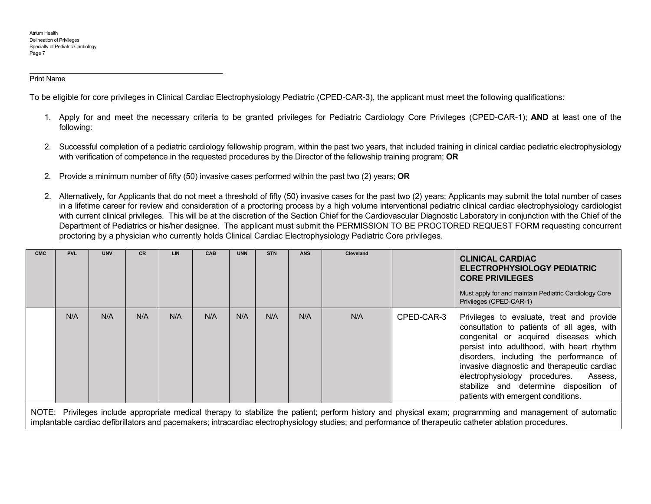#### Print Name

To be eligible for core privileges in Clinical Cardiac Electrophysiology Pediatric (CPED-CAR-3), the applicant must meet the following qualifications:

- 1. Apply for and meet the necessary criteria to be granted privileges for Pediatric Cardiology Core Privileges (CPED-CAR-1); **AND** at least one of the following:
- 2. Successful completion of a pediatric cardiology fellowship program, within the past two years, that included training in clinical cardiac pediatric electrophysiology with verification of competence in the requested procedures by the Director of the fellowship training program; **OR**
- 2. Provide a minimum number of fifty (50) invasive cases performed within the past two (2) years; **OR**
- 2. Alternatively, for Applicants that do not meet a threshold of fifty (50) invasive cases for the past two (2) years; Applicants may submit the total number of cases in a lifetime career for review and consideration of a proctoring process by a high volume interventional pediatric clinical cardiac electrophysiology cardiologist with current clinical privileges. This will be at the discretion of the Section Chief for the Cardiovascular Diagnostic Laboratory in conjunction with the Chief of the Department of Pediatrics or his/her designee. The applicant must submit the PERMISSION TO BE PROCTORED REQUEST FORM requesting concurrent proctoring by a physician who currently holds Clinical Cardiac Electrophysiology Pediatric Core privileges.

| N/A<br>N/A<br>N/A<br>N/A<br>N/A<br>N/A<br>N/A<br>N/A<br>N/A<br>CPED-CAR-3<br>electrophysiology procedures.<br>patients with emergent conditions. | <b>CMC</b> | <b>PVL</b> | <b>UNV</b> | <b>CR</b> | <b>LIN</b> | <b>CAB</b> | <b>UNN</b> | <b>STN</b> | <b>ANS</b> | Cleveland | <b>CLINICAL CARDIAC</b><br>ELECTROPHYSIOLOGY PEDIATRIC<br><b>CORE PRIVILEGES</b><br>Must apply for and maintain Pediatric Cardiology Core<br>Privileges (CPED-CAR-1)                                                                                                                                                         |
|--------------------------------------------------------------------------------------------------------------------------------------------------|------------|------------|------------|-----------|------------|------------|------------|------------|------------|-----------|------------------------------------------------------------------------------------------------------------------------------------------------------------------------------------------------------------------------------------------------------------------------------------------------------------------------------|
|                                                                                                                                                  |            |            |            |           |            |            |            |            |            |           | Privileges to evaluate, treat and provide<br>consultation to patients of all ages, with<br>congenital or acquired diseases which<br>persist into adulthood, with heart rhythm<br>disorders, including the performance of<br>invasive diagnostic and therapeutic cardiac<br>Assess,<br>stabilize and determine disposition of |

NOTE: Privileges include appropriate medical therapy to stabilize the patient; perform history and physical exam; programming and management of automatic implantable cardiac defibrillators and pacemakers; intracardiac electrophysiology studies; and performance of therapeutic catheter ablation procedures.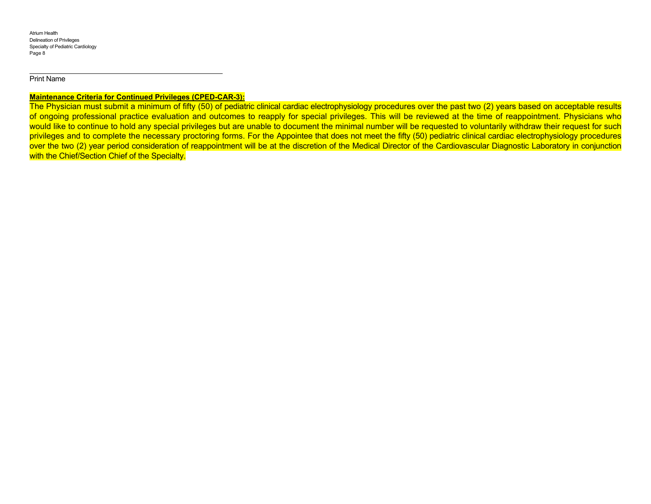#### Print Name

# **Maintenance Criteria for Continued Privileges (CPED-CAR-3):**

The Physician must submit a minimum of fifty (50) of pediatric clinical cardiac electrophysiology procedures over the past two (2) years based on acceptable results of ongoing professional practice evaluation and outcomes to reapply for special privileges. This will be reviewed at the time of reappointment. Physicians who would like to continue to hold any special privileges but are unable to document the minimal number will be requested to voluntarily withdraw their request for such privileges and to complete the necessary proctoring forms. For the Appointee that does not meet the fifty (50) pediatric clinical cardiac electrophysiology procedures over the two (2) year period consideration of reappointment will be at the discretion of the Medical Director of the Cardiovascular Diagnostic Laboratory in conjunction with the Chief/Section Chief of the Specialty.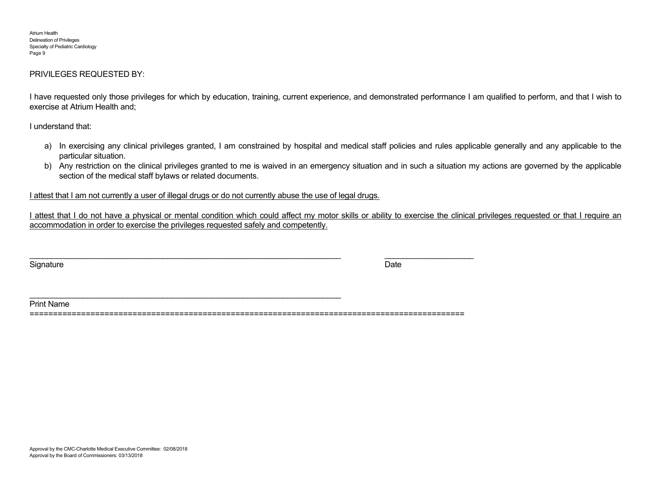## PRIVILEGES REQUESTED BY:

I have requested only those privileges for which by education, training, current experience, and demonstrated performance I am qualified to perform, and that I wish to exercise at Atrium Health and;

I understand that:

- a) In exercising any clinical privileges granted, I am constrained by hospital and medical staff policies and rules applicable generally and any applicable to the particular situation.
- b) Any restriction on the clinical privileges granted to me is waived in an emergency situation and in such a situation my actions are governed by the applicable section of the medical staff bylaws or related documents.

I attest that I am not currently a user of illegal drugs or do not currently abuse the use of legal drugs.

\_\_\_\_\_\_\_\_\_\_\_\_\_\_\_\_\_\_\_\_\_\_\_\_\_\_\_\_\_\_\_\_\_\_\_\_\_\_\_\_\_\_\_\_\_\_\_\_\_\_\_\_\_\_\_\_\_\_\_\_\_\_\_\_\_\_\_\_\_\_

I attest that I do not have a physical or mental condition which could affect my motor skills or ability to exercise the clinical privileges requested or that I require an accommodation in order to exercise the privileges requested safely and competently.

Signature Date Date of the Signature Date of the Date of the Date of the Date of the Date of the Date of the D

Print Name

=============================================================================================

\_\_\_\_\_\_\_\_\_\_\_\_\_\_\_\_\_\_\_\_\_\_\_\_\_\_\_\_\_\_\_\_\_\_\_\_\_\_\_\_\_\_\_\_\_\_\_\_\_\_\_\_\_\_\_\_\_\_\_\_\_\_\_\_\_\_\_\_\_\_ \_\_\_\_\_\_\_\_\_\_\_\_\_\_\_\_\_\_\_\_